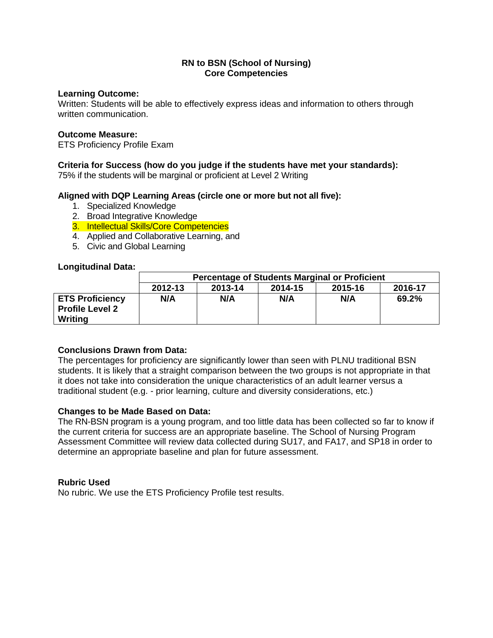### **Learning Outcome:**

Written: Students will be able to effectively express ideas and information to others through written communication.

#### **Outcome Measure:**

ETS Proficiency Profile Exam

## **Criteria for Success (how do you judge if the students have met your standards):**

75% if the students will be marginal or proficient at Level 2 Writing

## **Aligned with DQP Learning Areas (circle one or more but not all five):**

- 1. Specialized Knowledge
- 2. Broad Integrative Knowledge
- 3. Intellectual Skills/Core Competencies
- 4. Applied and Collaborative Learning, and
- 5. Civic and Global Learning

#### **Longitudinal Data:**

|                                                             | <b>Percentage of Students Marginal or Proficient</b> |         |         |         |         |
|-------------------------------------------------------------|------------------------------------------------------|---------|---------|---------|---------|
|                                                             | 2012-13                                              | 2013-14 | 2014-15 | 2015-16 | 2016-17 |
| <b>ETS Proficiency</b><br><b>Profile Level 2</b><br>Writing | N/A                                                  | N/A     | N/A     | N/A     | 69.2%   |

## **Conclusions Drawn from Data:**

The percentages for proficiency are significantly lower than seen with PLNU traditional BSN students. It is likely that a straight comparison between the two groups is not appropriate in that it does not take into consideration the unique characteristics of an adult learner versus a traditional student (e.g. - prior learning, culture and diversity considerations, etc.)

## **Changes to be Made Based on Data:**

The RN-BSN program is a young program, and too little data has been collected so far to know if the current criteria for success are an appropriate baseline. The School of Nursing Program Assessment Committee will review data collected during SU17, and FA17, and SP18 in order to determine an appropriate baseline and plan for future assessment.

#### **Rubric Used**

No rubric. We use the ETS Proficiency Profile test results.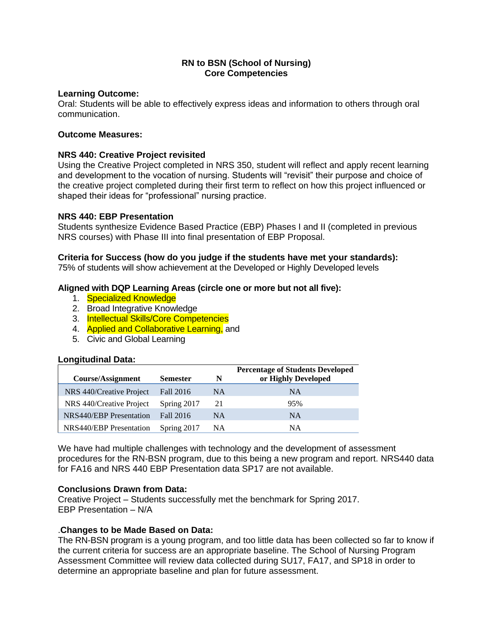## **Learning Outcome:**

Oral: Students will be able to effectively express ideas and information to others through oral communication.

## **Outcome Measures:**

## **NRS 440: Creative Project revisited**

Using the Creative Project completed in NRS 350, student will reflect and apply recent learning and development to the vocation of nursing. Students will "revisit" their purpose and choice of the creative project completed during their first term to reflect on how this project influenced or shaped their ideas for "professional" nursing practice.

## **NRS 440: EBP Presentation**

Students synthesize Evidence Based Practice (EBP) Phases I and II (completed in previous NRS courses) with Phase III into final presentation of EBP Proposal.

# **Criteria for Success (how do you judge if the students have met your standards):**

75% of students will show achievement at the Developed or Highly Developed levels

## **Aligned with DQP Learning Areas (circle one or more but not all five):**

- 1. Specialized Knowledge
- 2. Broad Integrative Knowledge
- 3. Intellectual Skills/Core Competencies
- 4. **Applied and Collaborative Learning.** and
- 5. Civic and Global Learning

## **Longitudinal Data:**

| <b>Course/Assignment</b>       | <b>Semester</b> | N  | <b>Percentage of Students Developed</b><br>or Highly Developed |
|--------------------------------|-----------------|----|----------------------------------------------------------------|
| NRS 440/Creative Project       | Fall 2016       | NA | <b>NA</b>                                                      |
| NRS 440/Creative Project       | Spring 2017     | 21 | 95%                                                            |
| <b>NRS440/EBP</b> Presentation | Fall 2016       | NA | <b>NA</b>                                                      |
| <b>NRS440/EBP</b> Presentation | Spring 2017     | NA | NA                                                             |

We have had multiple challenges with technology and the development of assessment procedures for the RN-BSN program, due to this being a new program and report. NRS440 data for FA16 and NRS 440 EBP Presentation data SP17 are not available.

## **Conclusions Drawn from Data:**

Creative Project – Students successfully met the benchmark for Spring 2017. EBP Presentation – N/A

## .**Changes to be Made Based on Data:**

The RN-BSN program is a young program, and too little data has been collected so far to know if the current criteria for success are an appropriate baseline. The School of Nursing Program Assessment Committee will review data collected during SU17, FA17, and SP18 in order to determine an appropriate baseline and plan for future assessment.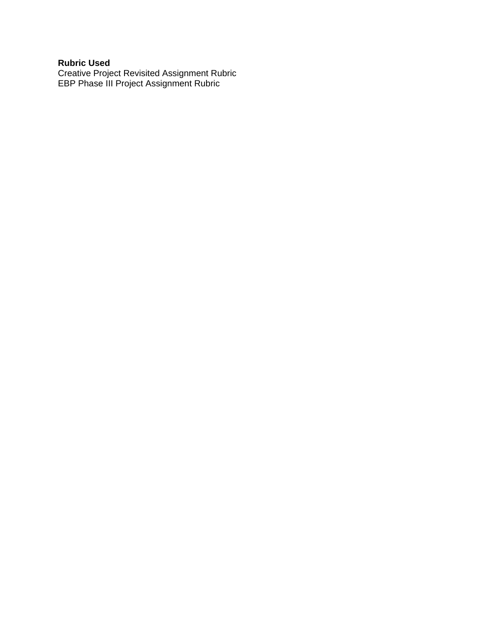### **Rubric Used**

Creative Project Revisited Assignment Rubric EBP Phase III Project Assignment Rubric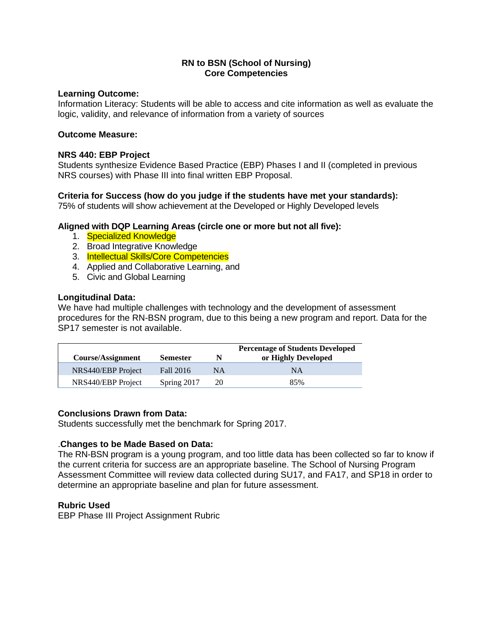## **Learning Outcome:**

Information Literacy: Students will be able to access and cite information as well as evaluate the logic, validity, and relevance of information from a variety of sources

### **Outcome Measure:**

## **NRS 440: EBP Project**

Students synthesize Evidence Based Practice (EBP) Phases I and II (completed in previous NRS courses) with Phase III into final written EBP Proposal.

## **Criteria for Success (how do you judge if the students have met your standards):**

75% of students will show achievement at the Developed or Highly Developed levels

## **Aligned with DQP Learning Areas (circle one or more but not all five):**

- 1. Specialized Knowledge
- 2. Broad Integrative Knowledge
- 3. Intellectual Skills/Core Competencies
- 4. Applied and Collaborative Learning, and
- 5. Civic and Global Learning

#### **Longitudinal Data:**

We have had multiple challenges with technology and the development of assessment procedures for the RN-BSN program, due to this being a new program and report. Data for the SP17 semester is not available.

| <b>Course/Assignment</b> | <b>Semester</b> | N  | <b>Percentage of Students Developed</b><br>or Highly Developed |
|--------------------------|-----------------|----|----------------------------------------------------------------|
| NRS440/EBP Project       | Fall 2016       | NΑ | <b>NA</b>                                                      |
| NRS440/EBP Project       | Spring 2017     | 20 | 85%                                                            |

## **Conclusions Drawn from Data:**

Students successfully met the benchmark for Spring 2017.

## .**Changes to be Made Based on Data:**

The RN-BSN program is a young program, and too little data has been collected so far to know if the current criteria for success are an appropriate baseline. The School of Nursing Program Assessment Committee will review data collected during SU17, and FA17, and SP18 in order to determine an appropriate baseline and plan for future assessment.

## **Rubric Used**

EBP Phase III Project Assignment Rubric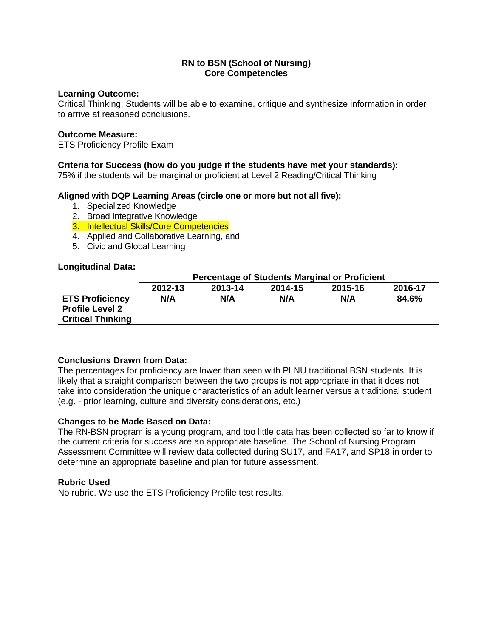### **Learning Outcome:**

Critical Thinking: Students will be able to examine, critique and synthesize information in order to arrive at reasoned conclusions.

#### **Outcome Measure:**

ETS Proficiency Profile Exam

## **Criteria for Success (how do you judge if the students have met your standards):**

75% if the students will be marginal or proficient at Level 2 Reading/Critical Thinking

## **Aligned with DQP Learning Areas (circle one or more but not all five):**

- 1. Specialized Knowledge
- 2. Broad Integrative Knowledge
- 3. Intellectual Skills/Core Competencies
- 4. Applied and Collaborative Learning, and
- 5. Civic and Global Learning

#### **Longitudinal Data:**

|                          | <b>Percentage of Students Marginal or Proficient</b> |         |         |         |         |
|--------------------------|------------------------------------------------------|---------|---------|---------|---------|
|                          | 2012-13                                              | 2013-14 | 2014-15 | 2015-16 | 2016-17 |
| <b>ETS Proficiency</b>   | N/A                                                  | N/A     | N/A     | N/A     | 84.6%   |
| <b>Profile Level 2</b>   |                                                      |         |         |         |         |
| <b>Critical Thinking</b> |                                                      |         |         |         |         |

## **Conclusions Drawn from Data:**

The percentages for proficiency are lower than seen with PLNU traditional BSN students. It is likely that a straight comparison between the two groups is not appropriate in that it does not take into consideration the unique characteristics of an adult learner versus a traditional student (e.g. - prior learning, culture and diversity considerations, etc.)

## **Changes to be Made Based on Data:**

The RN-BSN program is a young program, and too little data has been collected so far to know if the current criteria for success are an appropriate baseline. The School of Nursing Program Assessment Committee will review data collected during SU17, and FA17, and SP18 in order to determine an appropriate baseline and plan for future assessment.

#### **Rubric Used**

No rubric. We use the ETS Proficiency Profile test results.